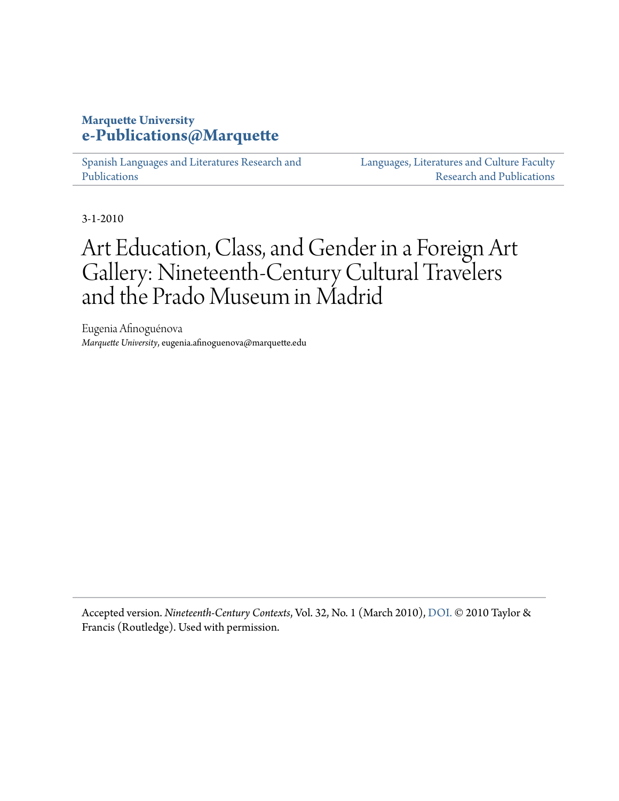## **Marquette University [e-Publications@Marquette](https://epublications.marquette.edu)**

[Spanish Languages and Literatures Research and](https://epublications.marquette.edu/span_fac) [Publications](https://epublications.marquette.edu/span_fac)

[Languages, Literatures and Culture Faculty](https://epublications.marquette.edu/fola_fac) [Research and Publications](https://epublications.marquette.edu/fola_fac)

3-1-2010

## Art Education, Class, and Gender in a Foreign Art Gallery: Nineteenth-Century Cultural Travelers and the Prado Museum in Madrid

Eugenia Afinoguénova *Marquette University*, eugenia.afinoguenova@marquette.edu

Accepted version. *Nineteenth-Century Contexts*, Vol. 32, No. 1 (March 2010), [DOI.](http://dx.doi.org/10.1080/08905491003704046) © 2010 Taylor & Francis (Routledge). Used with permission.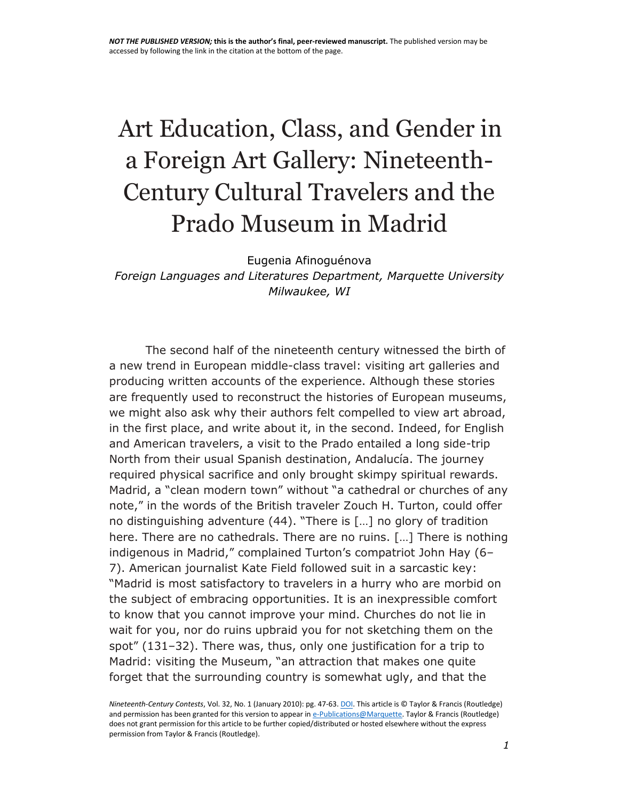# Art Education, Class, and Gender in a Foreign Art Gallery: Nineteenth-Century Cultural Travelers and the Prado Museum in Madrid

Eugenia Afinoguénova

*Foreign Languages and Literatures Department, Marquette University Milwaukee, WI*

The second half of the nineteenth century witnessed the birth of a new trend in European middle-class travel: visiting art galleries and producing written accounts of the experience. Although these stories are frequently used to reconstruct the histories of European museums, we might also ask why their authors felt compelled to view art abroad, in the first place, and write about it, in the second. Indeed, for English and American travelers, a visit to the Prado entailed a long side-trip North from their usual Spanish destination, Andalucía. The journey required physical sacrifice and only brought skimpy spiritual rewards. Madrid, a "clean modern town" without "a cathedral or churches of any note," in the words of the British traveler Zouch H. Turton, could offer no distinguishing adventure (44). "There is […] no glory of tradition here. There are no cathedrals. There are no ruins. […] There is nothing indigenous in Madrid," complained Turton's compatriot John Hay (6– 7). American journalist Kate Field followed suit in a sarcastic key: "Madrid is most satisfactory to travelers in a hurry who are morbid on the subject of embracing opportunities. It is an inexpressible comfort to know that you cannot improve your mind. Churches do not lie in wait for you, nor do ruins upbraid you for not sketching them on the spot" (131–32). There was, thus, only one justification for a trip to Madrid: visiting the Museum, "an attraction that makes one quite forget that the surrounding country is somewhat ugly, and that the

*Nineteenth-Century Contests*, Vol. 32, No. 1 (January 2010): pg. 47-63[. DOI.](http://dx.doi.org/10.1080/08905491003704046) This article is © Taylor & Francis (Routledge) and permission has been granted for this version to appear i[n e-Publications@Marquette.](http://epublications.marquette.edu/) Taylor & Francis (Routledge) does not grant permission for this article to be further copied/distributed or hosted elsewhere without the express permission from Taylor & Francis (Routledge).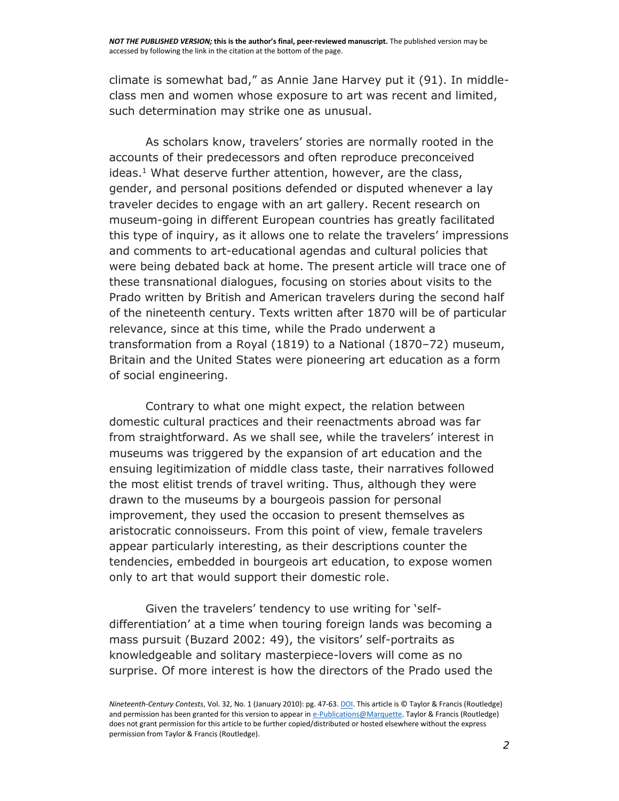climate is somewhat bad," as Annie Jane Harvey put it (91). In middleclass men and women whose exposure to art was recent and limited, such determination may strike one as unusual.

As scholars know, travelers' stories are normally rooted in the accounts of their predecessors and often reproduce preconceived ideas.<sup>1</sup> What deserve further attention, however, are the class, gender, and personal positions defended or disputed whenever a lay traveler decides to engage with an art gallery. Recent research on museum-going in different European countries has greatly facilitated this type of inquiry, as it allows one to relate the travelers' impressions and comments to art-educational agendas and cultural policies that were being debated back at home. The present article will trace one of these transnational dialogues, focusing on stories about visits to the Prado written by British and American travelers during the second half of the nineteenth century. Texts written after 1870 will be of particular relevance, since at this time, while the Prado underwent a transformation from a Royal (1819) to a National (1870–72) museum, Britain and the United States were pioneering art education as a form of social engineering.

Contrary to what one might expect, the relation between domestic cultural practices and their reenactments abroad was far from straightforward. As we shall see, while the travelers' interest in museums was triggered by the expansion of art education and the ensuing legitimization of middle class taste, their narratives followed the most elitist trends of travel writing. Thus, although they were drawn to the museums by a bourgeois passion for personal improvement, they used the occasion to present themselves as aristocratic connoisseurs. From this point of view, female travelers appear particularly interesting, as their descriptions counter the tendencies, embedded in bourgeois art education, to expose women only to art that would support their domestic role.

Given the travelers' tendency to use writing for 'selfdifferentiation' at a time when touring foreign lands was becoming a mass pursuit (Buzard 2002: 49), the visitors' self-portraits as knowledgeable and solitary masterpiece-lovers will come as no surprise. Of more interest is how the directors of the Prado used the

*Nineteenth-Century Contests*, Vol. 32, No. 1 (January 2010): pg. 47-63[. DOI.](http://dx.doi.org/10.1080/08905491003704046) This article is © Taylor & Francis (Routledge) and permission has been granted for this version to appear i[n e-Publications@Marquette.](http://epublications.marquette.edu/) Taylor & Francis (Routledge) does not grant permission for this article to be further copied/distributed or hosted elsewhere without the express permission from Taylor & Francis (Routledge).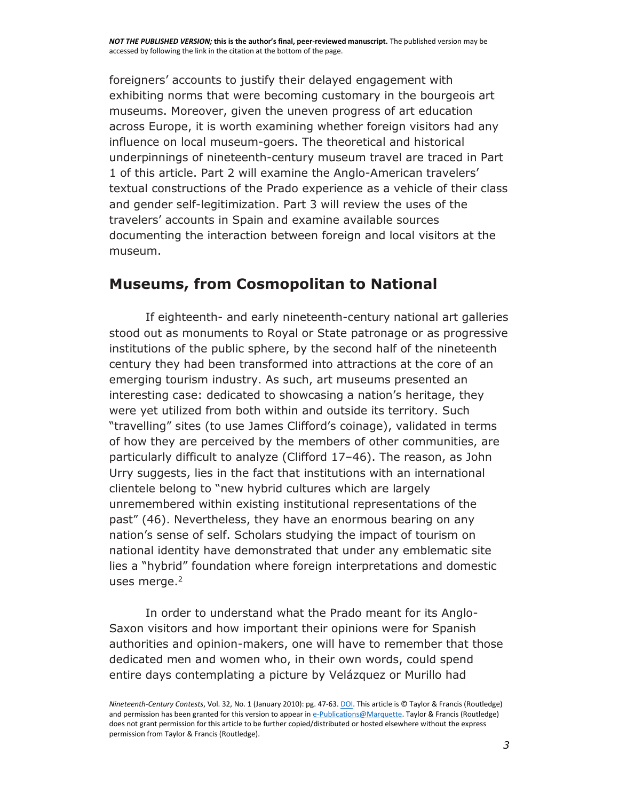foreigners' accounts to justify their delayed engagement with exhibiting norms that were becoming customary in the bourgeois art museums. Moreover, given the uneven progress of art education across Europe, it is worth examining whether foreign visitors had any influence on local museum-goers. The theoretical and historical underpinnings of nineteenth-century museum travel are traced in Part 1 of this article. Part 2 will examine the Anglo-American travelers' textual constructions of the Prado experience as a vehicle of their class and gender self-legitimization. Part 3 will review the uses of the travelers' accounts in Spain and examine available sources documenting the interaction between foreign and local visitors at the museum.

#### **Museums, from Cosmopolitan to National**

If eighteenth- and early nineteenth-century national art galleries stood out as monuments to Royal or State patronage or as progressive institutions of the public sphere, by the second half of the nineteenth century they had been transformed into attractions at the core of an emerging tourism industry. As such, art museums presented an interesting case: dedicated to showcasing a nation's heritage, they were yet utilized from both within and outside its territory. Such "travelling" sites (to use James Clifford's coinage), validated in terms of how they are perceived by the members of other communities, are particularly difficult to analyze (Clifford 17–46). The reason, as John Urry suggests, lies in the fact that institutions with an international clientele belong to "new hybrid cultures which are largely unremembered within existing institutional representations of the past" (46). Nevertheless, they have an enormous bearing on any nation's sense of self. Scholars studying the impact of tourism on national identity have demonstrated that under any emblematic site lies a "hybrid" foundation where foreign interpretations and domestic uses merge. $<sup>2</sup>$ </sup>

In order to understand what the Prado meant for its Anglo-Saxon visitors and how important their opinions were for Spanish authorities and opinion-makers, one will have to remember that those dedicated men and women who, in their own words, could spend entire days contemplating a picture by Velázquez or Murillo had

*Nineteenth-Century Contests*, Vol. 32, No. 1 (January 2010): pg. 47-63[. DOI.](http://dx.doi.org/10.1080/08905491003704046) This article is © Taylor & Francis (Routledge) and permission has been granted for this version to appear i[n e-Publications@Marquette.](http://epublications.marquette.edu/) Taylor & Francis (Routledge) does not grant permission for this article to be further copied/distributed or hosted elsewhere without the express permission from Taylor & Francis (Routledge).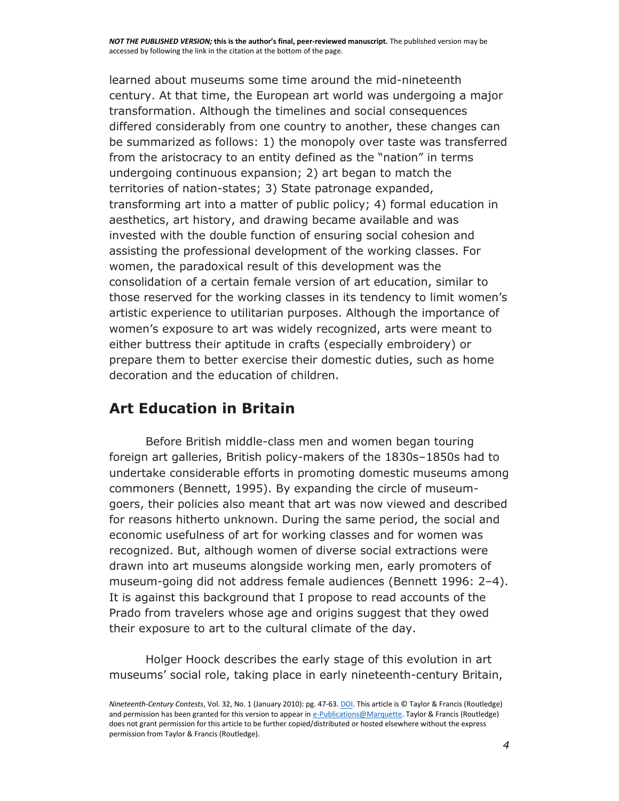learned about museums some time around the mid-nineteenth century. At that time, the European art world was undergoing a major transformation. Although the timelines and social consequences differed considerably from one country to another, these changes can be summarized as follows: 1) the monopoly over taste was transferred from the aristocracy to an entity defined as the "nation" in terms undergoing continuous expansion; 2) art began to match the territories of nation-states; 3) State patronage expanded, transforming art into a matter of public policy; 4) formal education in aesthetics, art history, and drawing became available and was invested with the double function of ensuring social cohesion and assisting the professional development of the working classes. For women, the paradoxical result of this development was the consolidation of a certain female version of art education, similar to those reserved for the working classes in its tendency to limit women's artistic experience to utilitarian purposes. Although the importance of women's exposure to art was widely recognized, arts were meant to either buttress their aptitude in crafts (especially embroidery) or prepare them to better exercise their domestic duties, such as home decoration and the education of children.

## **Art Education in Britain**

Before British middle-class men and women began touring foreign art galleries, British policy-makers of the 1830s–1850s had to undertake considerable efforts in promoting domestic museums among commoners (Bennett, 1995). By expanding the circle of museumgoers, their policies also meant that art was now viewed and described for reasons hitherto unknown. During the same period, the social and economic usefulness of art for working classes and for women was recognized. But, although women of diverse social extractions were drawn into art museums alongside working men, early promoters of museum-going did not address female audiences (Bennett 1996: 2–4). It is against this background that I propose to read accounts of the Prado from travelers whose age and origins suggest that they owed their exposure to art to the cultural climate of the day.

Holger Hoock describes the early stage of this evolution in art museums' social role, taking place in early nineteenth-century Britain,

*Nineteenth-Century Contests*, Vol. 32, No. 1 (January 2010): pg. 47-63[. DOI.](http://dx.doi.org/10.1080/08905491003704046) This article is © Taylor & Francis (Routledge) and permission has been granted for this version to appear i[n e-Publications@Marquette.](http://epublications.marquette.edu/) Taylor & Francis (Routledge) does not grant permission for this article to be further copied/distributed or hosted elsewhere without the express permission from Taylor & Francis (Routledge).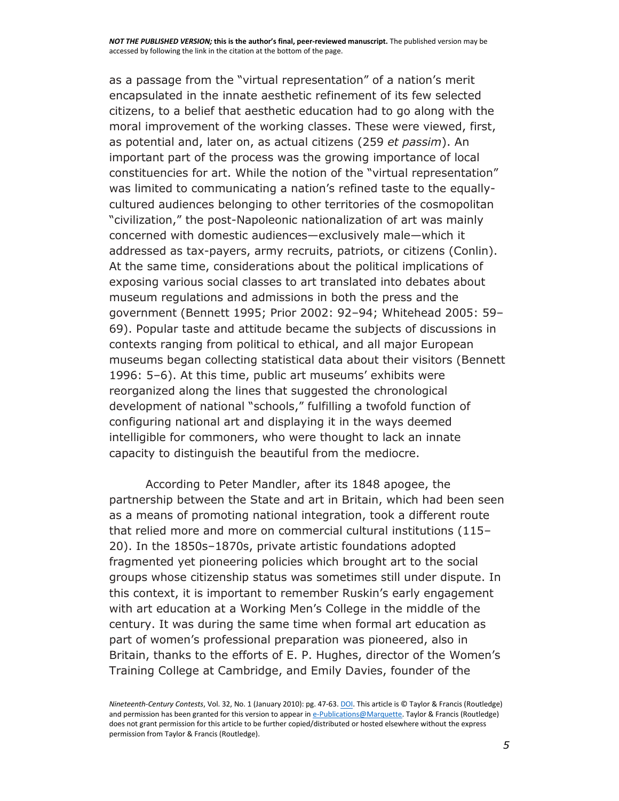as a passage from the "virtual representation" of a nation's merit encapsulated in the innate aesthetic refinement of its few selected citizens, to a belief that aesthetic education had to go along with the moral improvement of the working classes. These were viewed, first, as potential and, later on, as actual citizens (259 *et passim*). An important part of the process was the growing importance of local constituencies for art. While the notion of the "virtual representation" was limited to communicating a nation's refined taste to the equallycultured audiences belonging to other territories of the cosmopolitan "civilization," the post-Napoleonic nationalization of art was mainly concerned with domestic audiences—exclusively male—which it addressed as tax-payers, army recruits, patriots, or citizens (Conlin). At the same time, considerations about the political implications of exposing various social classes to art translated into debates about museum regulations and admissions in both the press and the government (Bennett 1995; Prior 2002: 92–94; Whitehead 2005: 59– 69). Popular taste and attitude became the subjects of discussions in contexts ranging from political to ethical, and all major European museums began collecting statistical data about their visitors (Bennett 1996: 5–6). At this time, public art museums' exhibits were reorganized along the lines that suggested the chronological development of national "schools," fulfilling a twofold function of configuring national art and displaying it in the ways deemed intelligible for commoners, who were thought to lack an innate capacity to distinguish the beautiful from the mediocre.

According to Peter Mandler, after its 1848 apogee, the partnership between the State and art in Britain, which had been seen as a means of promoting national integration, took a different route that relied more and more on commercial cultural institutions (115– 20). In the 1850s–1870s, private artistic foundations adopted fragmented yet pioneering policies which brought art to the social groups whose citizenship status was sometimes still under dispute. In this context, it is important to remember Ruskin's early engagement with art education at a Working Men's College in the middle of the century. It was during the same time when formal art education as part of women's professional preparation was pioneered, also in Britain, thanks to the efforts of E. P. Hughes, director of the Women's Training College at Cambridge, and Emily Davies, founder of the

*Nineteenth-Century Contests*, Vol. 32, No. 1 (January 2010): pg. 47-63[. DOI.](http://dx.doi.org/10.1080/08905491003704046) This article is © Taylor & Francis (Routledge) and permission has been granted for this version to appear i[n e-Publications@Marquette.](http://epublications.marquette.edu/) Taylor & Francis (Routledge) does not grant permission for this article to be further copied/distributed or hosted elsewhere without the express permission from Taylor & Francis (Routledge).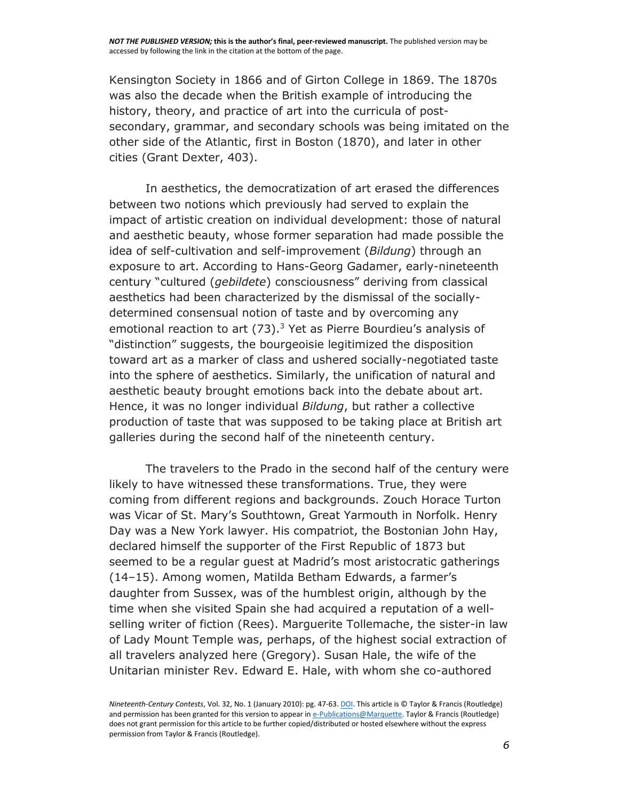Kensington Society in 1866 and of Girton College in 1869. The 1870s was also the decade when the British example of introducing the history, theory, and practice of art into the curricula of postsecondary, grammar, and secondary schools was being imitated on the other side of the Atlantic, first in Boston (1870), and later in other cities (Grant Dexter, 403).

In aesthetics, the democratization of art erased the differences between two notions which previously had served to explain the impact of artistic creation on individual development: those of natural and aesthetic beauty, whose former separation had made possible the idea of self-cultivation and self-improvement (*Bildung*) through an exposure to art. According to Hans-Georg Gadamer, early-nineteenth century "cultured (*gebildete*) consciousness" deriving from classical aesthetics had been characterized by the dismissal of the sociallydetermined consensual notion of taste and by overcoming any emotional reaction to art (73).<sup>3</sup> Yet as Pierre Bourdieu's analysis of "distinction" suggests, the bourgeoisie legitimized the disposition toward art as a marker of class and ushered socially-negotiated taste into the sphere of aesthetics. Similarly, the unification of natural and aesthetic beauty brought emotions back into the debate about art. Hence, it was no longer individual *Bildung*, but rather a collective production of taste that was supposed to be taking place at British art galleries during the second half of the nineteenth century.

The travelers to the Prado in the second half of the century were likely to have witnessed these transformations. True, they were coming from different regions and backgrounds. Zouch Horace Turton was Vicar of St. Mary's Southtown, Great Yarmouth in Norfolk. Henry Day was a New York lawyer. His compatriot, the Bostonian John Hay, declared himself the supporter of the First Republic of 1873 but seemed to be a regular guest at Madrid's most aristocratic gatherings (14–15). Among women, Matilda Betham Edwards, a farmer's daughter from Sussex, was of the humblest origin, although by the time when she visited Spain she had acquired a reputation of a wellselling writer of fiction (Rees). Marguerite Tollemache, the sister-in law of Lady Mount Temple was, perhaps, of the highest social extraction of all travelers analyzed here (Gregory). Susan Hale, the wife of the Unitarian minister Rev. Edward E. Hale, with whom she co-authored

*Nineteenth-Century Contests*, Vol. 32, No. 1 (January 2010): pg. 47-63[. DOI.](http://dx.doi.org/10.1080/08905491003704046) This article is © Taylor & Francis (Routledge) and permission has been granted for this version to appear i[n e-Publications@Marquette.](http://epublications.marquette.edu/) Taylor & Francis (Routledge) does not grant permission for this article to be further copied/distributed or hosted elsewhere without the express permission from Taylor & Francis (Routledge).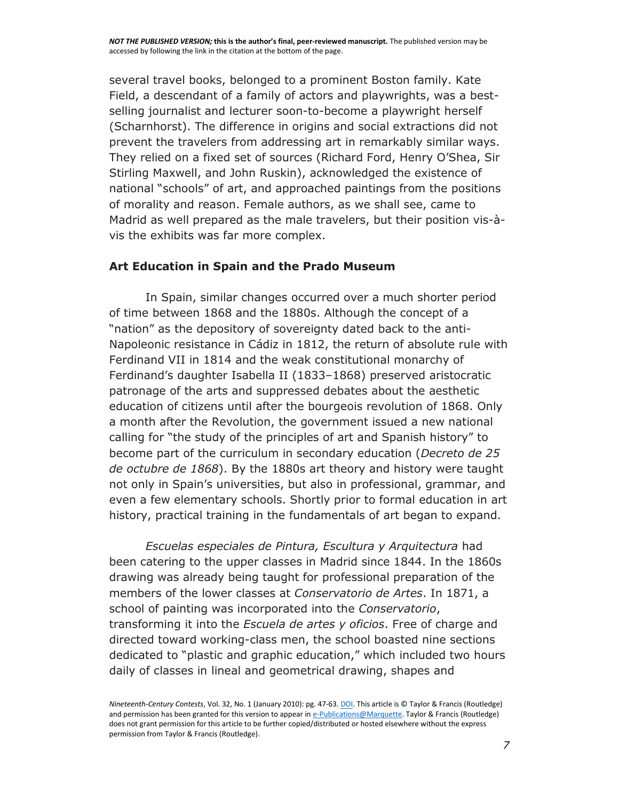several travel books, belonged to a prominent Boston family. Kate Field, a descendant of a family of actors and playwrights, was a bestselling journalist and lecturer soon-to-become a playwright herself (Scharnhorst). The difference in origins and social extractions did not prevent the travelers from addressing art in remarkably similar ways. They relied on a fixed set of sources (Richard Ford, Henry O'Shea, Sir Stirling Maxwell, and John Ruskin), acknowledged the existence of national "schools" of art, and approached paintings from the positions of morality and reason. Female authors, as we shall see, came to Madrid as well prepared as the male travelers, but their position vis-àvis the exhibits was far more complex.

#### **Art Education in Spain and the Prado Museum**

In Spain, similar changes occurred over a much shorter period of time between 1868 and the 1880s. Although the concept of a "nation" as the depository of sovereignty dated back to the anti-Napoleonic resistance in Cádiz in 1812, the return of absolute rule with Ferdinand VII in 1814 and the weak constitutional monarchy of Ferdinand's daughter Isabella II (1833–1868) preserved aristocratic patronage of the arts and suppressed debates about the aesthetic education of citizens until after the bourgeois revolution of 1868. Only a month after the Revolution, the government issued a new national calling for "the study of the principles of art and Spanish history" to become part of the curriculum in secondary education (*Decreto de 25 de octubre de 1868*). By the 1880s art theory and history were taught not only in Spain's universities, but also in professional, grammar, and even a few elementary schools. Shortly prior to formal education in art history, practical training in the fundamentals of art began to expand.

*Escuelas especiales de Pintura, Escultura y Arquitectura* had been catering to the upper classes in Madrid since 1844. In the 1860s drawing was already being taught for professional preparation of the members of the lower classes at *Conservatorio de Artes*. In 1871, a school of painting was incorporated into the *Conservatorio*, transforming it into the *Escuela de artes y oficios*. Free of charge and directed toward working-class men, the school boasted nine sections dedicated to "plastic and graphic education," which included two hours daily of classes in lineal and geometrical drawing, shapes and

*Nineteenth-Century Contests*, Vol. 32, No. 1 (January 2010): pg. 47-63[. DOI.](http://dx.doi.org/10.1080/08905491003704046) This article is © Taylor & Francis (Routledge) and permission has been granted for this version to appear i[n e-Publications@Marquette.](http://epublications.marquette.edu/) Taylor & Francis (Routledge) does not grant permission for this article to be further copied/distributed or hosted elsewhere without the express permission from Taylor & Francis (Routledge).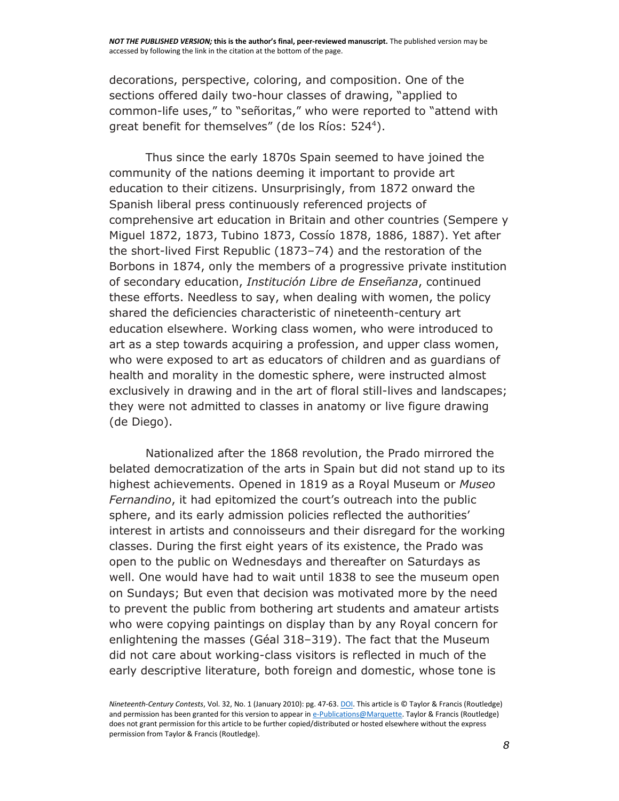decorations, perspective, coloring, and composition. One of the sections offered daily two-hour classes of drawing, "applied to common-life uses," to "señoritas," who were reported to "attend with great benefit for themselves" (de los Ríos: 524<sup>4</sup>).

Thus since the early 1870s Spain seemed to have joined the community of the nations deeming it important to provide art education to their citizens. Unsurprisingly, from 1872 onward the Spanish liberal press continuously referenced projects of comprehensive art education in Britain and other countries (Sempere y Miguel 1872, 1873, Tubino 1873, Cossío 1878, 1886, 1887). Yet after the short-lived First Republic (1873–74) and the restoration of the Borbons in 1874, only the members of a progressive private institution of secondary education, *Institución Libre de Enseñanza*, continued these efforts. Needless to say, when dealing with women, the policy shared the deficiencies characteristic of nineteenth-century art education elsewhere. Working class women, who were introduced to art as a step towards acquiring a profession, and upper class women, who were exposed to art as educators of children and as guardians of health and morality in the domestic sphere, were instructed almost exclusively in drawing and in the art of floral still-lives and landscapes; they were not admitted to classes in anatomy or live figure drawing (de Diego).

Nationalized after the 1868 revolution, the Prado mirrored the belated democratization of the arts in Spain but did not stand up to its highest achievements. Opened in 1819 as a Royal Museum or *Museo Fernandino*, it had epitomized the court's outreach into the public sphere, and its early admission policies reflected the authorities' interest in artists and connoisseurs and their disregard for the working classes. During the first eight years of its existence, the Prado was open to the public on Wednesdays and thereafter on Saturdays as well. One would have had to wait until 1838 to see the museum open on Sundays; But even that decision was motivated more by the need to prevent the public from bothering art students and amateur artists who were copying paintings on display than by any Royal concern for enlightening the masses (Géal 318–319). The fact that the Museum did not care about working-class visitors is reflected in much of the early descriptive literature, both foreign and domestic, whose tone is

*Nineteenth-Century Contests*, Vol. 32, No. 1 (January 2010): pg. 47-63[. DOI.](http://dx.doi.org/10.1080/08905491003704046) This article is © Taylor & Francis (Routledge) and permission has been granted for this version to appear i[n e-Publications@Marquette.](http://epublications.marquette.edu/) Taylor & Francis (Routledge) does not grant permission for this article to be further copied/distributed or hosted elsewhere without the express permission from Taylor & Francis (Routledge).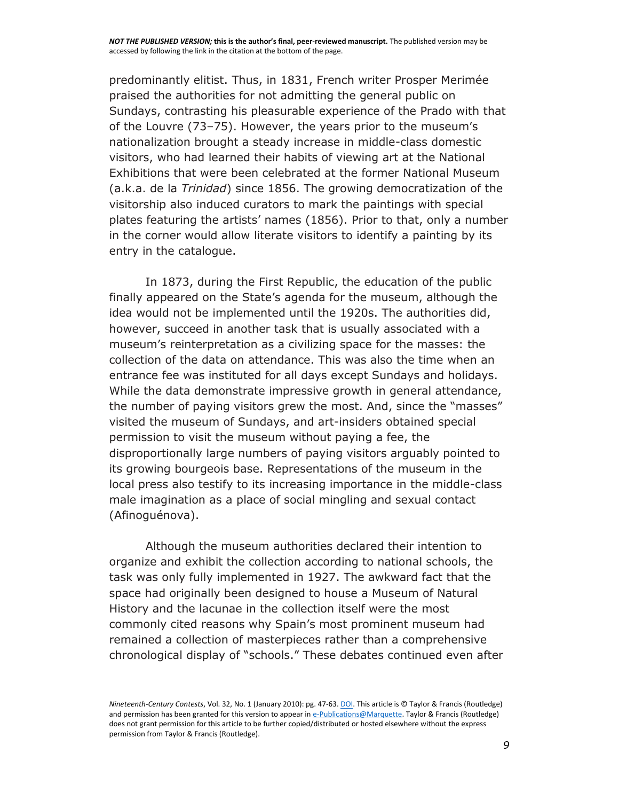predominantly elitist. Thus, in 1831, French writer Prosper Merimée praised the authorities for not admitting the general public on Sundays, contrasting his pleasurable experience of the Prado with that of the Louvre (73–75). However, the years prior to the museum's nationalization brought a steady increase in middle-class domestic visitors, who had learned their habits of viewing art at the National Exhibitions that were been celebrated at the former National Museum (a.k.a. de la *Trinidad*) since 1856. The growing democratization of the visitorship also induced curators to mark the paintings with special plates featuring the artists' names (1856). Prior to that, only a number in the corner would allow literate visitors to identify a painting by its entry in the catalogue.

In 1873, during the First Republic, the education of the public finally appeared on the State's agenda for the museum, although the idea would not be implemented until the 1920s. The authorities did, however, succeed in another task that is usually associated with a museum's reinterpretation as a civilizing space for the masses: the collection of the data on attendance. This was also the time when an entrance fee was instituted for all days except Sundays and holidays. While the data demonstrate impressive growth in general attendance, the number of paying visitors grew the most. And, since the "masses" visited the museum of Sundays, and art-insiders obtained special permission to visit the museum without paying a fee, the disproportionally large numbers of paying visitors arguably pointed to its growing bourgeois base. Representations of the museum in the local press also testify to its increasing importance in the middle-class male imagination as a place of social mingling and sexual contact (Afinoguénova).

Although the museum authorities declared their intention to organize and exhibit the collection according to national schools, the task was only fully implemented in 1927. The awkward fact that the space had originally been designed to house a Museum of Natural History and the lacunae in the collection itself were the most commonly cited reasons why Spain's most prominent museum had remained a collection of masterpieces rather than a comprehensive chronological display of "schools." These debates continued even after

*Nineteenth-Century Contests*, Vol. 32, No. 1 (January 2010): pg. 47-63[. DOI.](http://dx.doi.org/10.1080/08905491003704046) This article is © Taylor & Francis (Routledge) and permission has been granted for this version to appear i[n e-Publications@Marquette.](http://epublications.marquette.edu/) Taylor & Francis (Routledge) does not grant permission for this article to be further copied/distributed or hosted elsewhere without the express permission from Taylor & Francis (Routledge).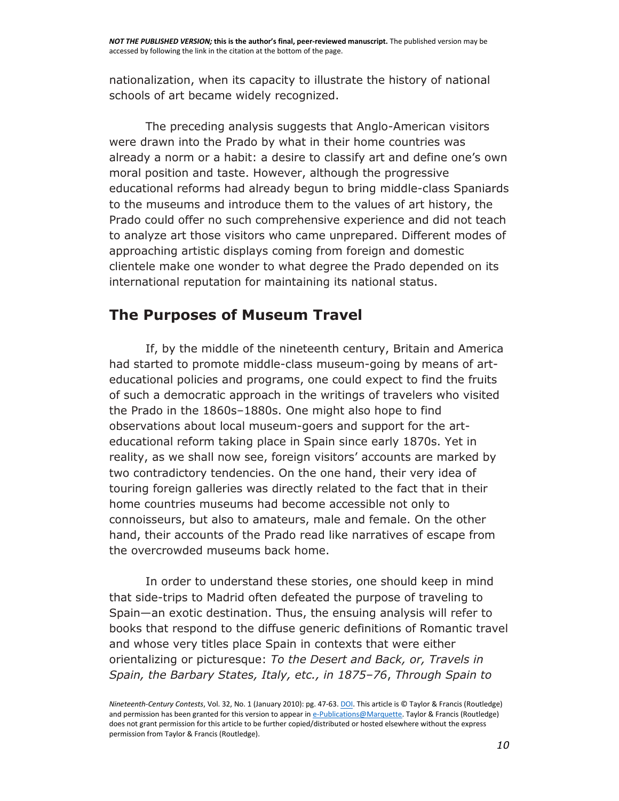nationalization, when its capacity to illustrate the history of national schools of art became widely recognized.

The preceding analysis suggests that Anglo-American visitors were drawn into the Prado by what in their home countries was already a norm or a habit: a desire to classify art and define one's own moral position and taste. However, although the progressive educational reforms had already begun to bring middle-class Spaniards to the museums and introduce them to the values of art history, the Prado could offer no such comprehensive experience and did not teach to analyze art those visitors who came unprepared. Different modes of approaching artistic displays coming from foreign and domestic clientele make one wonder to what degree the Prado depended on its international reputation for maintaining its national status.

## **The Purposes of Museum Travel**

If, by the middle of the nineteenth century, Britain and America had started to promote middle-class museum-going by means of arteducational policies and programs, one could expect to find the fruits of such a democratic approach in the writings of travelers who visited the Prado in the 1860s–1880s. One might also hope to find observations about local museum-goers and support for the arteducational reform taking place in Spain since early 1870s. Yet in reality, as we shall now see, foreign visitors' accounts are marked by two contradictory tendencies. On the one hand, their very idea of touring foreign galleries was directly related to the fact that in their home countries museums had become accessible not only to connoisseurs, but also to amateurs, male and female. On the other hand, their accounts of the Prado read like narratives of escape from the overcrowded museums back home.

In order to understand these stories, one should keep in mind that side-trips to Madrid often defeated the purpose of traveling to Spain—an exotic destination. Thus, the ensuing analysis will refer to books that respond to the diffuse generic definitions of Romantic travel and whose very titles place Spain in contexts that were either orientalizing or picturesque: *To the Desert and Back, or, Travels in Spain, the Barbary States, Italy, etc., in 1875–76*, *Through Spain to* 

*Nineteenth-Century Contests*, Vol. 32, No. 1 (January 2010): pg. 47-63[. DOI.](http://dx.doi.org/10.1080/08905491003704046) This article is © Taylor & Francis (Routledge) and permission has been granted for this version to appear i[n e-Publications@Marquette.](http://epublications.marquette.edu/) Taylor & Francis (Routledge) does not grant permission for this article to be further copied/distributed or hosted elsewhere without the express permission from Taylor & Francis (Routledge).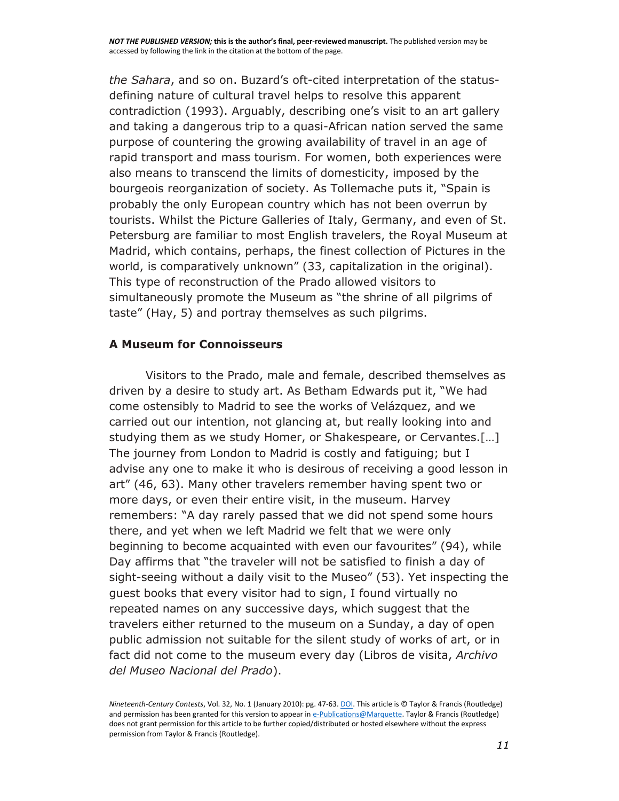*the Sahara*, and so on. Buzard's oft-cited interpretation of the statusdefining nature of cultural travel helps to resolve this apparent contradiction (1993). Arguably, describing one's visit to an art gallery and taking a dangerous trip to a quasi-African nation served the same purpose of countering the growing availability of travel in an age of rapid transport and mass tourism. For women, both experiences were also means to transcend the limits of domesticity, imposed by the bourgeois reorganization of society. As Tollemache puts it, "Spain is probably the only European country which has not been overrun by tourists. Whilst the Picture Galleries of Italy, Germany, and even of St. Petersburg are familiar to most English travelers, the Royal Museum at Madrid, which contains, perhaps, the finest collection of Pictures in the world, is comparatively unknown" (33, capitalization in the original). This type of reconstruction of the Prado allowed visitors to simultaneously promote the Museum as "the shrine of all pilgrims of taste" (Hay, 5) and portray themselves as such pilgrims.

#### **A Museum for Connoisseurs**

Visitors to the Prado, male and female, described themselves as driven by a desire to study art. As Betham Edwards put it, "We had come ostensibly to Madrid to see the works of Velázquez, and we carried out our intention, not glancing at, but really looking into and studying them as we study Homer, or Shakespeare, or Cervantes.[…] The journey from London to Madrid is costly and fatiguing; but I advise any one to make it who is desirous of receiving a good lesson in art" (46, 63). Many other travelers remember having spent two or more days, or even their entire visit, in the museum. Harvey remembers: "A day rarely passed that we did not spend some hours there, and yet when we left Madrid we felt that we were only beginning to become acquainted with even our favourites" (94), while Day affirms that "the traveler will not be satisfied to finish a day of sight-seeing without a daily visit to the Museo" (53). Yet inspecting the guest books that every visitor had to sign, I found virtually no repeated names on any successive days, which suggest that the travelers either returned to the museum on a Sunday, a day of open public admission not suitable for the silent study of works of art, or in fact did not come to the museum every day (Libros de visita, *Archivo del Museo Nacional del Prado*).

*Nineteenth-Century Contests*, Vol. 32, No. 1 (January 2010): pg. 47-63[. DOI.](http://dx.doi.org/10.1080/08905491003704046) This article is © Taylor & Francis (Routledge) and permission has been granted for this version to appear i[n e-Publications@Marquette.](http://epublications.marquette.edu/) Taylor & Francis (Routledge) does not grant permission for this article to be further copied/distributed or hosted elsewhere without the express permission from Taylor & Francis (Routledge).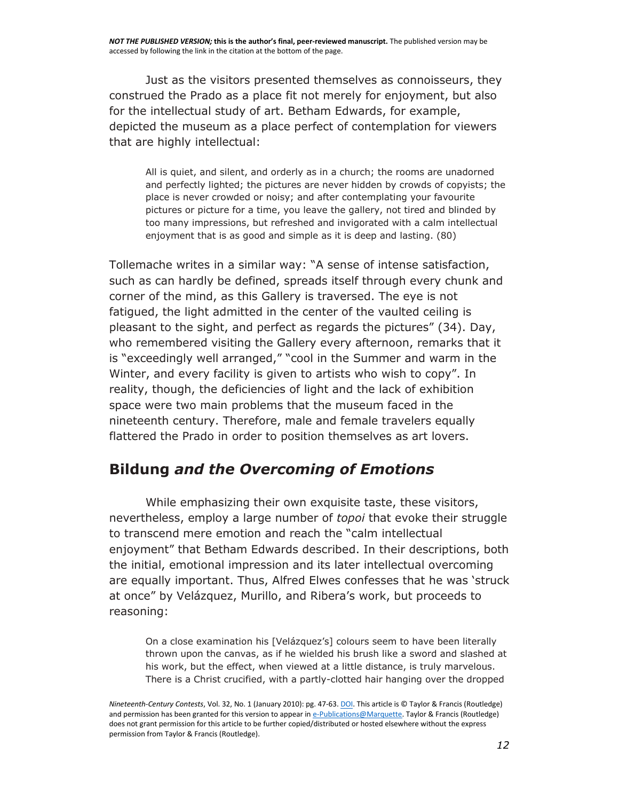Just as the visitors presented themselves as connoisseurs, they construed the Prado as a place fit not merely for enjoyment, but also for the intellectual study of art. Betham Edwards, for example, depicted the museum as a place perfect of contemplation for viewers that are highly intellectual:

All is quiet, and silent, and orderly as in a church; the rooms are unadorned and perfectly lighted; the pictures are never hidden by crowds of copyists; the place is never crowded or noisy; and after contemplating your favourite pictures or picture for a time, you leave the gallery, not tired and blinded by too many impressions, but refreshed and invigorated with a calm intellectual enjoyment that is as good and simple as it is deep and lasting. (80)

Tollemache writes in a similar way: "A sense of intense satisfaction, such as can hardly be defined, spreads itself through every chunk and corner of the mind, as this Gallery is traversed. The eye is not fatigued, the light admitted in the center of the vaulted ceiling is pleasant to the sight, and perfect as regards the pictures" (34). Day, who remembered visiting the Gallery every afternoon, remarks that it is "exceedingly well arranged," "cool in the Summer and warm in the Winter, and every facility is given to artists who wish to copy". In reality, though, the deficiencies of light and the lack of exhibition space were two main problems that the museum faced in the nineteenth century. Therefore, male and female travelers equally flattered the Prado in order to position themselves as art lovers.

## **Bildung** *and the Overcoming of Emotions*

While emphasizing their own exquisite taste, these visitors, nevertheless, employ a large number of *topoi* that evoke their struggle to transcend mere emotion and reach the "calm intellectual enjoyment" that Betham Edwards described. In their descriptions, both the initial, emotional impression and its later intellectual overcoming are equally important. Thus, Alfred Elwes confesses that he was 'struck at once" by Velázquez, Murillo, and Ribera's work, but proceeds to reasoning:

On a close examination his [Velázquez's] colours seem to have been literally thrown upon the canvas, as if he wielded his brush like a sword and slashed at his work, but the effect, when viewed at a little distance, is truly marvelous. There is a Christ crucified, with a partly-clotted hair hanging over the dropped

*Nineteenth-Century Contests*, Vol. 32, No. 1 (January 2010): pg. 47-63[. DOI.](http://dx.doi.org/10.1080/08905491003704046) This article is © Taylor & Francis (Routledge) and permission has been granted for this version to appear i[n e-Publications@Marquette.](http://epublications.marquette.edu/) Taylor & Francis (Routledge) does not grant permission for this article to be further copied/distributed or hosted elsewhere without the express permission from Taylor & Francis (Routledge).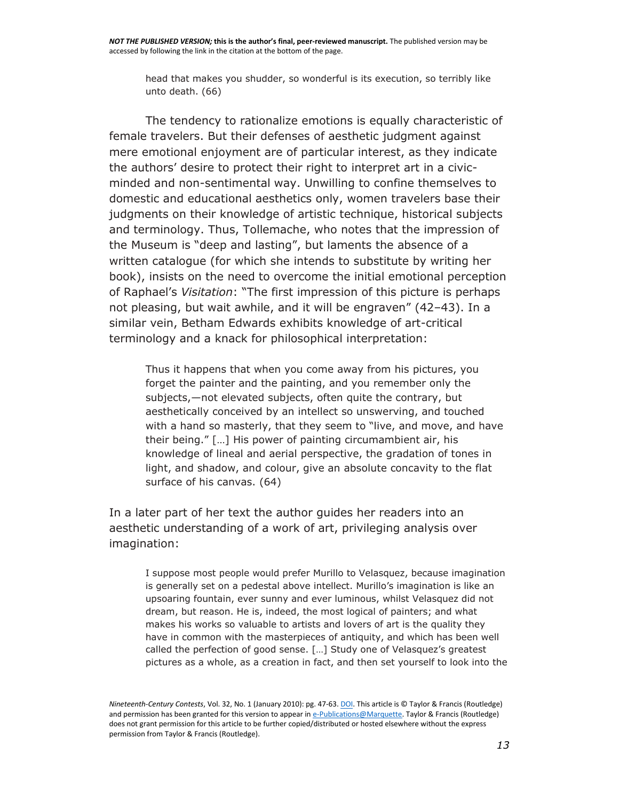head that makes you shudder, so wonderful is its execution, so terribly like unto death. (66)

The tendency to rationalize emotions is equally characteristic of female travelers. But their defenses of aesthetic judgment against mere emotional enjoyment are of particular interest, as they indicate the authors' desire to protect their right to interpret art in a civicminded and non-sentimental way. Unwilling to confine themselves to domestic and educational aesthetics only, women travelers base their judgments on their knowledge of artistic technique, historical subjects and terminology. Thus, Tollemache, who notes that the impression of the Museum is "deep and lasting", but laments the absence of a written catalogue (for which she intends to substitute by writing her book), insists on the need to overcome the initial emotional perception of Raphael's *Visitation*: "The first impression of this picture is perhaps not pleasing, but wait awhile, and it will be engraven" (42–43). In a similar vein, Betham Edwards exhibits knowledge of art-critical terminology and a knack for philosophical interpretation:

Thus it happens that when you come away from his pictures, you forget the painter and the painting, and you remember only the subjects,—not elevated subjects, often quite the contrary, but aesthetically conceived by an intellect so unswerving, and touched with a hand so masterly, that they seem to "live, and move, and have their being." […] His power of painting circumambient air, his knowledge of lineal and aerial perspective, the gradation of tones in light, and shadow, and colour, give an absolute concavity to the flat surface of his canvas. (64)

In a later part of her text the author guides her readers into an aesthetic understanding of a work of art, privileging analysis over imagination:

I suppose most people would prefer Murillo to Velasquez, because imagination is generally set on a pedestal above intellect. Murillo's imagination is like an upsoaring fountain, ever sunny and ever luminous, whilst Velasquez did not dream, but reason. He is, indeed, the most logical of painters; and what makes his works so valuable to artists and lovers of art is the quality they have in common with the masterpieces of antiquity, and which has been well called the perfection of good sense. […] Study one of Velasquez's greatest pictures as a whole, as a creation in fact, and then set yourself to look into the

*Nineteenth-Century Contests*, Vol. 32, No. 1 (January 2010): pg. 47-63[. DOI.](http://dx.doi.org/10.1080/08905491003704046) This article is © Taylor & Francis (Routledge) and permission has been granted for this version to appear i[n e-Publications@Marquette.](http://epublications.marquette.edu/) Taylor & Francis (Routledge) does not grant permission for this article to be further copied/distributed or hosted elsewhere without the express permission from Taylor & Francis (Routledge).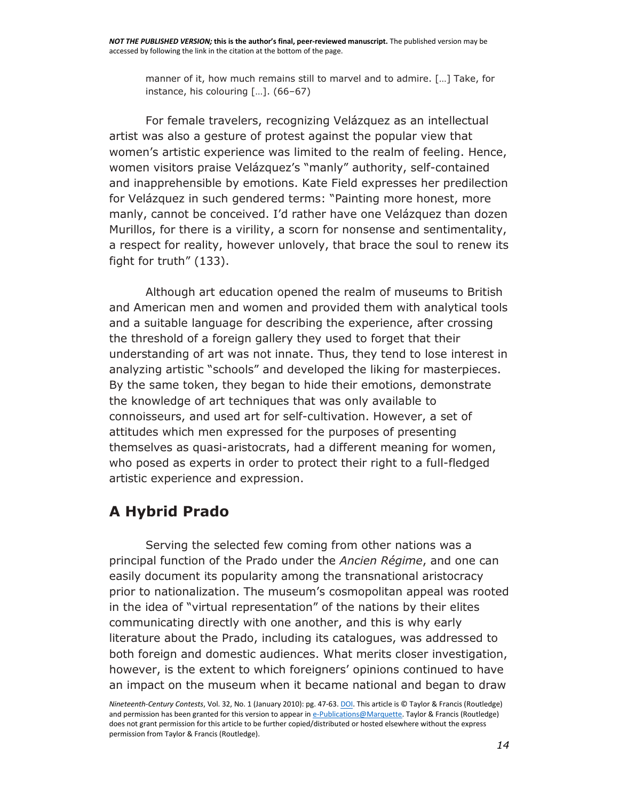manner of it, how much remains still to marvel and to admire. […] Take, for instance, his colouring […]. (66–67)

For female travelers, recognizing Velázquez as an intellectual artist was also a gesture of protest against the popular view that women's artistic experience was limited to the realm of feeling. Hence, women visitors praise Velázquez's "manly" authority, self-contained and inapprehensible by emotions. Kate Field expresses her predilection for Velázquez in such gendered terms: "Painting more honest, more manly, cannot be conceived. I'd rather have one Velázquez than dozen Murillos, for there is a virility, a scorn for nonsense and sentimentality, a respect for reality, however unlovely, that brace the soul to renew its fight for truth" (133).

Although art education opened the realm of museums to British and American men and women and provided them with analytical tools and a suitable language for describing the experience, after crossing the threshold of a foreign gallery they used to forget that their understanding of art was not innate. Thus, they tend to lose interest in analyzing artistic "schools" and developed the liking for masterpieces. By the same token, they began to hide their emotions, demonstrate the knowledge of art techniques that was only available to connoisseurs, and used art for self-cultivation. However, a set of attitudes which men expressed for the purposes of presenting themselves as quasi-aristocrats, had a different meaning for women, who posed as experts in order to protect their right to a full-fledged artistic experience and expression.

## **A Hybrid Prado**

Serving the selected few coming from other nations was a principal function of the Prado under the *Ancien Régime*, and one can easily document its popularity among the transnational aristocracy prior to nationalization. The museum's cosmopolitan appeal was rooted in the idea of "virtual representation" of the nations by their elites communicating directly with one another, and this is why early literature about the Prado, including its catalogues, was addressed to both foreign and domestic audiences. What merits closer investigation, however, is the extent to which foreigners' opinions continued to have an impact on the museum when it became national and began to draw

*Nineteenth-Century Contests*, Vol. 32, No. 1 (January 2010): pg. 47-63[. DOI.](http://dx.doi.org/10.1080/08905491003704046) This article is © Taylor & Francis (Routledge) and permission has been granted for this version to appear i[n e-Publications@Marquette.](http://epublications.marquette.edu/) Taylor & Francis (Routledge) does not grant permission for this article to be further copied/distributed or hosted elsewhere without the express permission from Taylor & Francis (Routledge).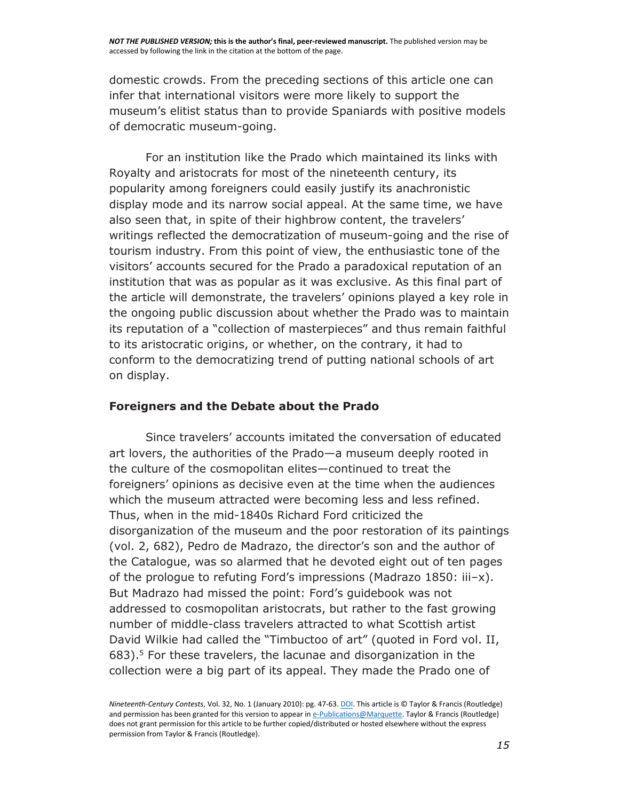domestic crowds. From the preceding sections of this article one can infer that international visitors were more likely to support the museum's elitist status than to provide Spaniards with positive models of democratic museum-going.

For an institution like the Prado which maintained its links with Royalty and aristocrats for most of the nineteenth century, its popularity among foreigners could easily justify its anachronistic display mode and its narrow social appeal. At the same time, we have also seen that, in spite of their highbrow content, the travelers' writings reflected the democratization of museum-going and the rise of tourism industry. From this point of view, the enthusiastic tone of the visitors' accounts secured for the Prado a paradoxical reputation of an institution that was as popular as it was exclusive. As this final part of the article will demonstrate, the travelers' opinions played a key role in the ongoing public discussion about whether the Prado was to maintain its reputation of a "collection of masterpieces" and thus remain faithful to its aristocratic origins, or whether, on the contrary, it had to conform to the democratizing trend of putting national schools of art on display.

#### **Foreigners and the Debate about the Prado**

Since travelers' accounts imitated the conversation of educated art lovers, the authorities of the Prado—a museum deeply rooted in the culture of the cosmopolitan elites—continued to treat the foreigners' opinions as decisive even at the time when the audiences which the museum attracted were becoming less and less refined. Thus, when in the mid-1840s Richard Ford criticized the disorganization of the museum and the poor restoration of its paintings (vol. 2, 682), Pedro de Madrazo, the director's son and the author of the Catalogue, was so alarmed that he devoted eight out of ten pages of the prologue to refuting Ford's impressions (Madrazo 1850: iii–x). But Madrazo had missed the point: Ford's guidebook was not addressed to cosmopolitan aristocrats, but rather to the fast growing number of middle-class travelers attracted to what Scottish artist David Wilkie had called the "Timbuctoo of art" (quoted in Ford vol. II, 683).<sup>5</sup> For these travelers, the lacunae and disorganization in the collection were a big part of its appeal. They made the Prado one of

*Nineteenth-Century Contests*, Vol. 32, No. 1 (January 2010): pg. 47-63[. DOI.](http://dx.doi.org/10.1080/08905491003704046) This article is © Taylor & Francis (Routledge) and permission has been granted for this version to appear i[n e-Publications@Marquette.](http://epublications.marquette.edu/) Taylor & Francis (Routledge) does not grant permission for this article to be further copied/distributed or hosted elsewhere without the express permission from Taylor & Francis (Routledge).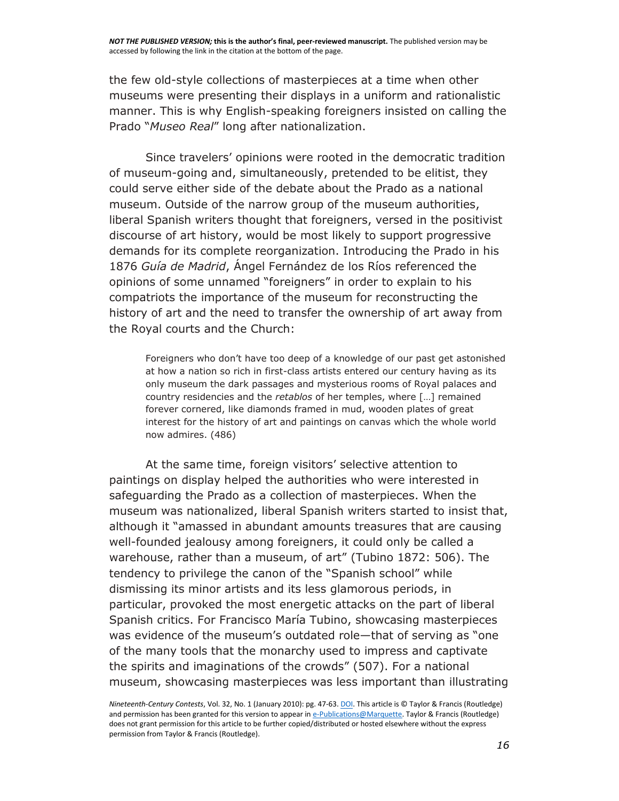the few old-style collections of masterpieces at a time when other museums were presenting their displays in a uniform and rationalistic manner. This is why English-speaking foreigners insisted on calling the Prado "*Museo Real*" long after nationalization.

Since travelers' opinions were rooted in the democratic tradition of museum-going and, simultaneously, pretended to be elitist, they could serve either side of the debate about the Prado as a national museum. Outside of the narrow group of the museum authorities, liberal Spanish writers thought that foreigners, versed in the positivist discourse of art history, would be most likely to support progressive demands for its complete reorganization. Introducing the Prado in his 1876 *Guía de Madrid*, Ángel Fernández de los Ríos referenced the opinions of some unnamed "foreigners" in order to explain to his compatriots the importance of the museum for reconstructing the history of art and the need to transfer the ownership of art away from the Royal courts and the Church:

Foreigners who don't have too deep of a knowledge of our past get astonished at how a nation so rich in first-class artists entered our century having as its only museum the dark passages and mysterious rooms of Royal palaces and country residencies and the *retablos* of her temples, where […] remained forever cornered, like diamonds framed in mud, wooden plates of great interest for the history of art and paintings on canvas which the whole world now admires. (486)

At the same time, foreign visitors' selective attention to paintings on display helped the authorities who were interested in safeguarding the Prado as a collection of masterpieces. When the museum was nationalized, liberal Spanish writers started to insist that, although it "amassed in abundant amounts treasures that are causing well-founded jealousy among foreigners, it could only be called a warehouse, rather than a museum, of art" (Tubino 1872: 506). The tendency to privilege the canon of the "Spanish school" while dismissing its minor artists and its less glamorous periods, in particular, provoked the most energetic attacks on the part of liberal Spanish critics. For Francisco María Tubino, showcasing masterpieces was evidence of the museum's outdated role—that of serving as "one of the many tools that the monarchy used to impress and captivate the spirits and imaginations of the crowds" (507). For a national museum, showcasing masterpieces was less important than illustrating

*Nineteenth-Century Contests*, Vol. 32, No. 1 (January 2010): pg. 47-63[. DOI.](http://dx.doi.org/10.1080/08905491003704046) This article is © Taylor & Francis (Routledge) and permission has been granted for this version to appear i[n e-Publications@Marquette.](http://epublications.marquette.edu/) Taylor & Francis (Routledge) does not grant permission for this article to be further copied/distributed or hosted elsewhere without the express permission from Taylor & Francis (Routledge).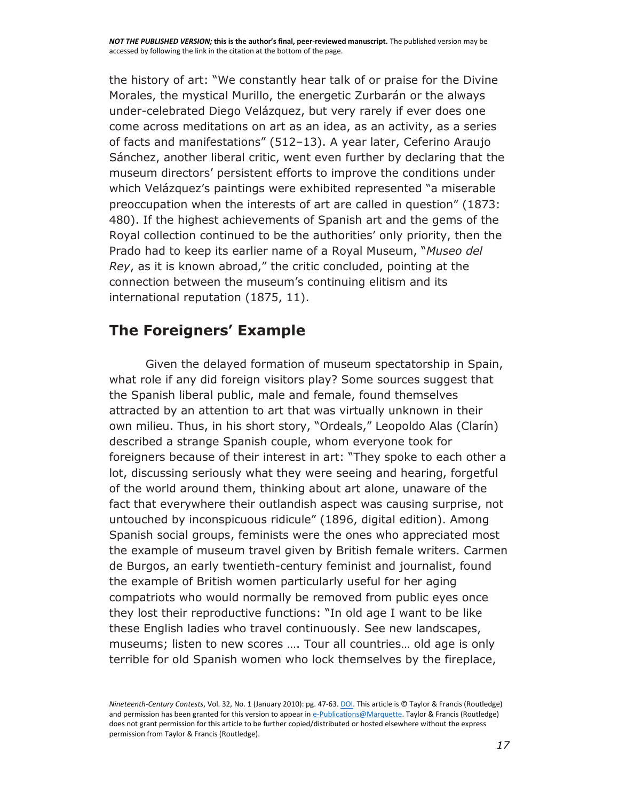the history of art: "We constantly hear talk of or praise for the Divine Morales, the mystical Murillo, the energetic Zurbarán or the always under-celebrated Diego Velázquez, but very rarely if ever does one come across meditations on art as an idea, as an activity, as a series of facts and manifestations" (512–13). A year later, Ceferino Araujo Sánchez, another liberal critic, went even further by declaring that the museum directors' persistent efforts to improve the conditions under which Velázquez's paintings were exhibited represented "a miserable preoccupation when the interests of art are called in question" (1873: 480). If the highest achievements of Spanish art and the gems of the Royal collection continued to be the authorities' only priority, then the Prado had to keep its earlier name of a Royal Museum, "*Museo del Rey*, as it is known abroad," the critic concluded, pointing at the connection between the museum's continuing elitism and its international reputation (1875, 11).

## **The Foreigners' Example**

Given the delayed formation of museum spectatorship in Spain, what role if any did foreign visitors play? Some sources suggest that the Spanish liberal public, male and female, found themselves attracted by an attention to art that was virtually unknown in their own milieu. Thus, in his short story, "Ordeals," Leopoldo Alas (Clarín) described a strange Spanish couple, whom everyone took for foreigners because of their interest in art: "They spoke to each other a lot, discussing seriously what they were seeing and hearing, forgetful of the world around them, thinking about art alone, unaware of the fact that everywhere their outlandish aspect was causing surprise, not untouched by inconspicuous ridicule" (1896, digital edition). Among Spanish social groups, feminists were the ones who appreciated most the example of museum travel given by British female writers. Carmen de Burgos, an early twentieth-century feminist and journalist, found the example of British women particularly useful for her aging compatriots who would normally be removed from public eyes once they lost their reproductive functions: "In old age I want to be like these English ladies who travel continuously. See new landscapes, museums; listen to new scores …. Tour all countries… old age is only terrible for old Spanish women who lock themselves by the fireplace,

*Nineteenth-Century Contests*, Vol. 32, No. 1 (January 2010): pg. 47-63[. DOI.](http://dx.doi.org/10.1080/08905491003704046) This article is © Taylor & Francis (Routledge) and permission has been granted for this version to appear i[n e-Publications@Marquette.](http://epublications.marquette.edu/) Taylor & Francis (Routledge) does not grant permission for this article to be further copied/distributed or hosted elsewhere without the express permission from Taylor & Francis (Routledge).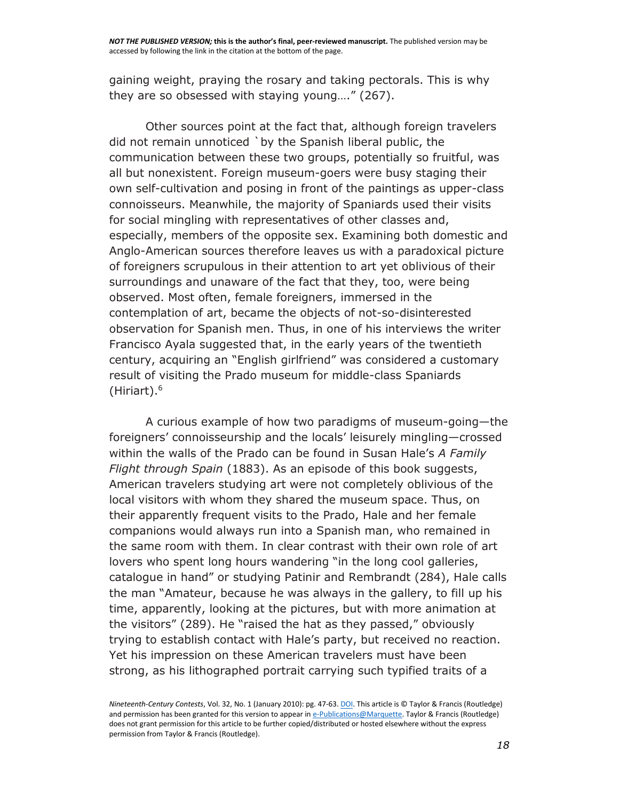gaining weight, praying the rosary and taking pectorals. This is why they are so obsessed with staying young…." (267).

Other sources point at the fact that, although foreign travelers did not remain unnoticed `by the Spanish liberal public, the communication between these two groups, potentially so fruitful, was all but nonexistent. Foreign museum-goers were busy staging their own self-cultivation and posing in front of the paintings as upper-class connoisseurs. Meanwhile, the majority of Spaniards used their visits for social mingling with representatives of other classes and, especially, members of the opposite sex. Examining both domestic and Anglo-American sources therefore leaves us with a paradoxical picture of foreigners scrupulous in their attention to art yet oblivious of their surroundings and unaware of the fact that they, too, were being observed. Most often, female foreigners, immersed in the contemplation of art, became the objects of not-so-disinterested observation for Spanish men. Thus, in one of his interviews the writer Francisco Ayala suggested that, in the early years of the twentieth century, acquiring an "English girlfriend" was considered a customary result of visiting the Prado museum for middle-class Spaniards (Hiriart).<sup>6</sup>

A curious example of how two paradigms of museum-going—the foreigners' connoisseurship and the locals' leisurely mingling—crossed within the walls of the Prado can be found in Susan Hale's *A Family Flight through Spain* (1883). As an episode of this book suggests, American travelers studying art were not completely oblivious of the local visitors with whom they shared the museum space. Thus, on their apparently frequent visits to the Prado, Hale and her female companions would always run into a Spanish man, who remained in the same room with them. In clear contrast with their own role of art lovers who spent long hours wandering "in the long cool galleries, catalogue in hand" or studying Patinir and Rembrandt (284), Hale calls the man "Amateur, because he was always in the gallery, to fill up his time, apparently, looking at the pictures, but with more animation at the visitors" (289). He "raised the hat as they passed," obviously trying to establish contact with Hale's party, but received no reaction. Yet his impression on these American travelers must have been strong, as his lithographed portrait carrying such typified traits of a

*Nineteenth-Century Contests*, Vol. 32, No. 1 (January 2010): pg. 47-63[. DOI.](http://dx.doi.org/10.1080/08905491003704046) This article is © Taylor & Francis (Routledge) and permission has been granted for this version to appear i[n e-Publications@Marquette.](http://epublications.marquette.edu/) Taylor & Francis (Routledge) does not grant permission for this article to be further copied/distributed or hosted elsewhere without the express permission from Taylor & Francis (Routledge).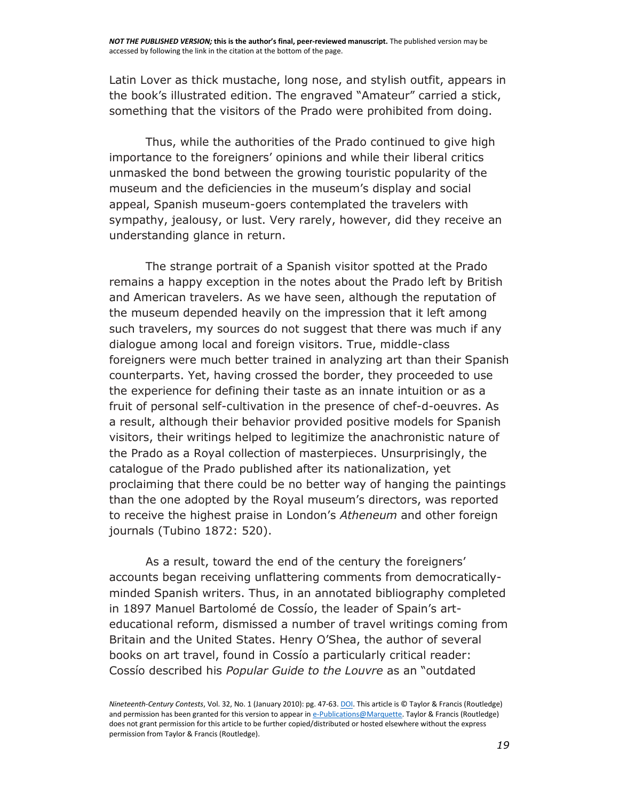Latin Lover as thick mustache, long nose, and stylish outfit, appears in the book's illustrated edition. The engraved "Amateur" carried a stick, something that the visitors of the Prado were prohibited from doing.

Thus, while the authorities of the Prado continued to give high importance to the foreigners' opinions and while their liberal critics unmasked the bond between the growing touristic popularity of the museum and the deficiencies in the museum's display and social appeal, Spanish museum-goers contemplated the travelers with sympathy, jealousy, or lust. Very rarely, however, did they receive an understanding glance in return.

The strange portrait of a Spanish visitor spotted at the Prado remains a happy exception in the notes about the Prado left by British and American travelers. As we have seen, although the reputation of the museum depended heavily on the impression that it left among such travelers, my sources do not suggest that there was much if any dialogue among local and foreign visitors. True, middle-class foreigners were much better trained in analyzing art than their Spanish counterparts. Yet, having crossed the border, they proceeded to use the experience for defining their taste as an innate intuition or as a fruit of personal self-cultivation in the presence of chef-d-oeuvres. As a result, although their behavior provided positive models for Spanish visitors, their writings helped to legitimize the anachronistic nature of the Prado as a Royal collection of masterpieces. Unsurprisingly, the catalogue of the Prado published after its nationalization, yet proclaiming that there could be no better way of hanging the paintings than the one adopted by the Royal museum's directors, was reported to receive the highest praise in London's *Atheneum* and other foreign journals (Tubino 1872: 520).

As a result, toward the end of the century the foreigners' accounts began receiving unflattering comments from democraticallyminded Spanish writers. Thus, in an annotated bibliography completed in 1897 Manuel Bartolomé de Cossío, the leader of Spain's arteducational reform, dismissed a number of travel writings coming from Britain and the United States. Henry O'Shea, the author of several books on art travel, found in Cossío a particularly critical reader: Cossío described his *Popular Guide to the Louvre* as an "outdated

*Nineteenth-Century Contests*, Vol. 32, No. 1 (January 2010): pg. 47-63[. DOI.](http://dx.doi.org/10.1080/08905491003704046) This article is © Taylor & Francis (Routledge) and permission has been granted for this version to appear i[n e-Publications@Marquette.](http://epublications.marquette.edu/) Taylor & Francis (Routledge) does not grant permission for this article to be further copied/distributed or hosted elsewhere without the express permission from Taylor & Francis (Routledge).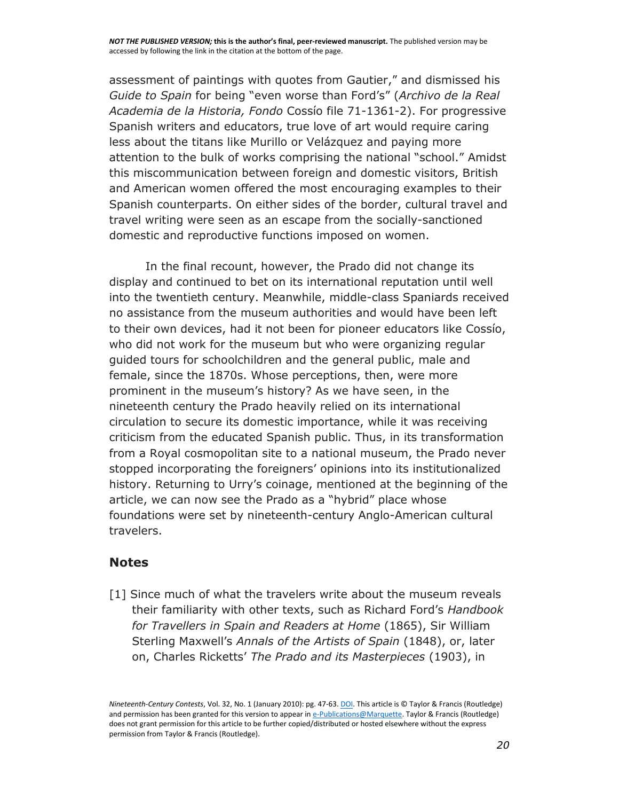assessment of paintings with quotes from Gautier," and dismissed his *Guide to Spain* for being "even worse than Ford's" (*Archivo de la Real Academia de la Historia, Fondo* Cossío file 71-1361-2). For progressive Spanish writers and educators, true love of art would require caring less about the titans like Murillo or Velázquez and paying more attention to the bulk of works comprising the national "school." Amidst this miscommunication between foreign and domestic visitors, British and American women offered the most encouraging examples to their Spanish counterparts. On either sides of the border, cultural travel and travel writing were seen as an escape from the socially-sanctioned domestic and reproductive functions imposed on women.

In the final recount, however, the Prado did not change its display and continued to bet on its international reputation until well into the twentieth century. Meanwhile, middle-class Spaniards received no assistance from the museum authorities and would have been left to their own devices, had it not been for pioneer educators like Cossío, who did not work for the museum but who were organizing regular guided tours for schoolchildren and the general public, male and female, since the 1870s. Whose perceptions, then, were more prominent in the museum's history? As we have seen, in the nineteenth century the Prado heavily relied on its international circulation to secure its domestic importance, while it was receiving criticism from the educated Spanish public. Thus, in its transformation from a Royal cosmopolitan site to a national museum, the Prado never stopped incorporating the foreigners' opinions into its institutionalized history. Returning to Urry's coinage, mentioned at the beginning of the article, we can now see the Prado as a "hybrid" place whose foundations were set by nineteenth-century Anglo-American cultural travelers.

#### **Notes**

[1] Since much of what the travelers write about the museum reveals their familiarity with other texts, such as Richard Ford's *Handbook for Travellers in Spain and Readers at Home* (1865), Sir William Sterling Maxwell's *Annals of the Artists of Spain* (1848), or, later on, Charles Ricketts' *The Prado and its Masterpieces* (1903), in

*Nineteenth-Century Contests*, Vol. 32, No. 1 (January 2010): pg. 47-63[. DOI.](http://dx.doi.org/10.1080/08905491003704046) This article is © Taylor & Francis (Routledge) and permission has been granted for this version to appear i[n e-Publications@Marquette.](http://epublications.marquette.edu/) Taylor & Francis (Routledge) does not grant permission for this article to be further copied/distributed or hosted elsewhere without the express permission from Taylor & Francis (Routledge).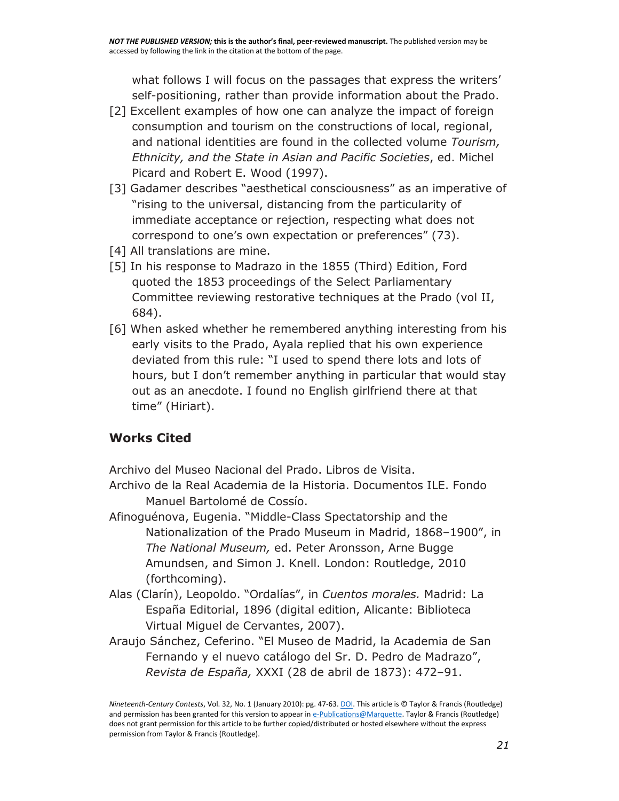what follows I will focus on the passages that express the writers' self-positioning, rather than provide information about the Prado.

- [2] Excellent examples of how one can analyze the impact of foreign consumption and tourism on the constructions of local, regional, and national identities are found in the collected volume *Tourism, Ethnicity, and the State in Asian and Pacific Societies*, ed. Michel Picard and Robert E. Wood (1997).
- [3] Gadamer describes "aesthetical consciousness" as an imperative of "rising to the universal, distancing from the particularity of immediate acceptance or rejection, respecting what does not correspond to one's own expectation or preferences" (73).
- [4] All translations are mine.
- [5] In his response to Madrazo in the 1855 (Third) Edition, Ford quoted the 1853 proceedings of the Select Parliamentary Committee reviewing restorative techniques at the Prado (vol II, 684).
- [6] When asked whether he remembered anything interesting from his early visits to the Prado, Ayala replied that his own experience deviated from this rule: "I used to spend there lots and lots of hours, but I don't remember anything in particular that would stay out as an anecdote. I found no English girlfriend there at that time" (Hiriart).

## **Works Cited**

Archivo del Museo Nacional del Prado. Libros de Visita.

- Archivo de la Real Academia de la Historia. Documentos ILE. Fondo Manuel Bartolomé de Cossío.
- Afinoguénova, Eugenia. "Middle-Class Spectatorship and the Nationalization of the Prado Museum in Madrid, 1868–1900", in *The National Museum,* ed. Peter Aronsson, Arne Bugge Amundsen, and Simon J. Knell. London: Routledge, 2010 (forthcoming).
- Alas (Clarín), Leopoldo. "Ordalías", in *Cuentos morales.* Madrid: La España Editorial, 1896 (digital edition, Alicante: Biblioteca Virtual Miguel de Cervantes, 2007).
- Araujo Sánchez, Ceferino. "El Museo de Madrid, la Academia de San Fernando y el nuevo catálogo del Sr. D. Pedro de Madrazo", *Revista de España,* XXXI (28 de abril de 1873): 472–91.

*Nineteenth-Century Contests*, Vol. 32, No. 1 (January 2010): pg. 47-63[. DOI.](http://dx.doi.org/10.1080/08905491003704046) This article is © Taylor & Francis (Routledge) and permission has been granted for this version to appear i[n e-Publications@Marquette.](http://epublications.marquette.edu/) Taylor & Francis (Routledge) does not grant permission for this article to be further copied/distributed or hosted elsewhere without the express permission from Taylor & Francis (Routledge).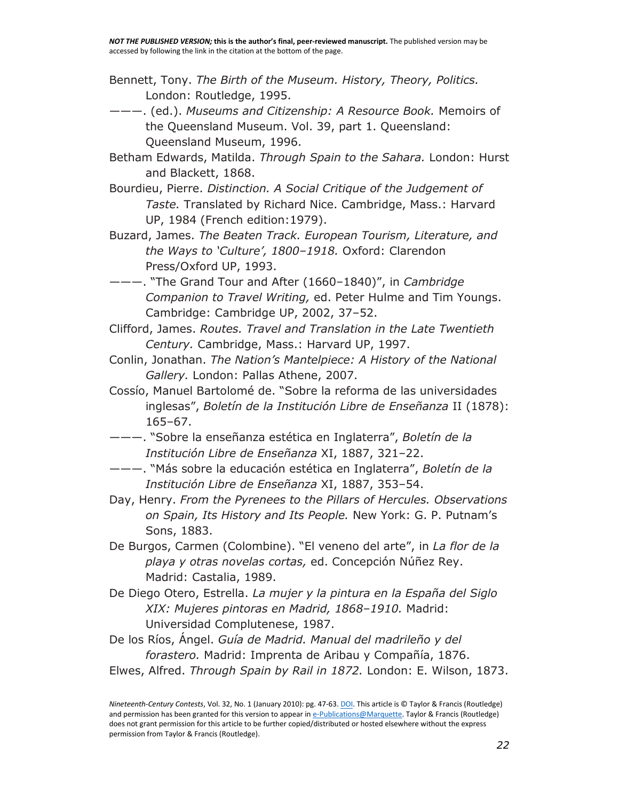- Bennett, Tony. *The Birth of the Museum. History, Theory, Politics.*  London: Routledge, 1995.
- ———. (ed.). *Museums and Citizenship: A Resource Book.* Memoirs of the Queensland Museum. Vol. 39, part 1. Queensland: Queensland Museum, 1996.
- Betham Edwards, Matilda. *Through Spain to the Sahara.* London: Hurst and Blackett, 1868.
- Bourdieu, Pierre. *Distinction. A Social Critique of the Judgement of Taste.* Translated by Richard Nice. Cambridge, Mass.: Harvard UP, 1984 (French edition:1979).
- Buzard, James. *The Beaten Track. European Tourism, Literature, and the Ways to 'Culture', 1800–1918.* Oxford: Clarendon Press/Oxford UP, 1993.
- ———. "The Grand Tour and After (1660–1840)", in *Cambridge Companion to Travel Writing,* ed. Peter Hulme and Tim Youngs. Cambridge: Cambridge UP, 2002, 37–52.
- Clifford, James. *Routes. Travel and Translation in the Late Twentieth Century.* Cambridge, Mass.: Harvard UP, 1997.
- Conlin, Jonathan. *The Nation's Mantelpiece: A History of the National Gallery.* London: Pallas Athene, 2007.
- Cossío, Manuel Bartolomé de. "Sobre la reforma de las universidades inglesas", *Boletín de la Institución Libre de Enseñanza* II (1878): 165–67.
- ———. "Sobre la enseñanza estética en Inglaterra", *Boletín de la Institución Libre de Enseñanza* XI, 1887, 321–22.
- ———. "Más sobre la educación estética en Inglaterra", *Boletín de la Institución Libre de Enseñanza* XI, 1887, 353–54.
- Day, Henry. *From the Pyrenees to the Pillars of Hercules. Observations on Spain, Its History and Its People.* New York: G. P. Putnam's Sons, 1883.
- De Burgos, Carmen (Colombine). "El veneno del arte", in *La flor de la playa y otras novelas cortas,* ed. Concepción Núñez Rey. Madrid: Castalia, 1989.
- De Diego Otero, Estrella. *La mujer y la pintura en la España del Siglo XIX: Mujeres pintoras en Madrid, 1868–1910.* Madrid: Universidad Complutenese, 1987.
- De los Ríos, Ángel. *Guía de Madrid. Manual del madrileño y del forastero.* Madrid: Imprenta de Aribau y Compañía, 1876.
- Elwes, Alfred. *Through Spain by Rail in 1872.* London: E. Wilson, 1873.

*Nineteenth-Century Contests*, Vol. 32, No. 1 (January 2010): pg. 47-63[. DOI.](http://dx.doi.org/10.1080/08905491003704046) This article is © Taylor & Francis (Routledge) and permission has been granted for this version to appear i[n e-Publications@Marquette.](http://epublications.marquette.edu/) Taylor & Francis (Routledge) does not grant permission for this article to be further copied/distributed or hosted elsewhere without the express permission from Taylor & Francis (Routledge).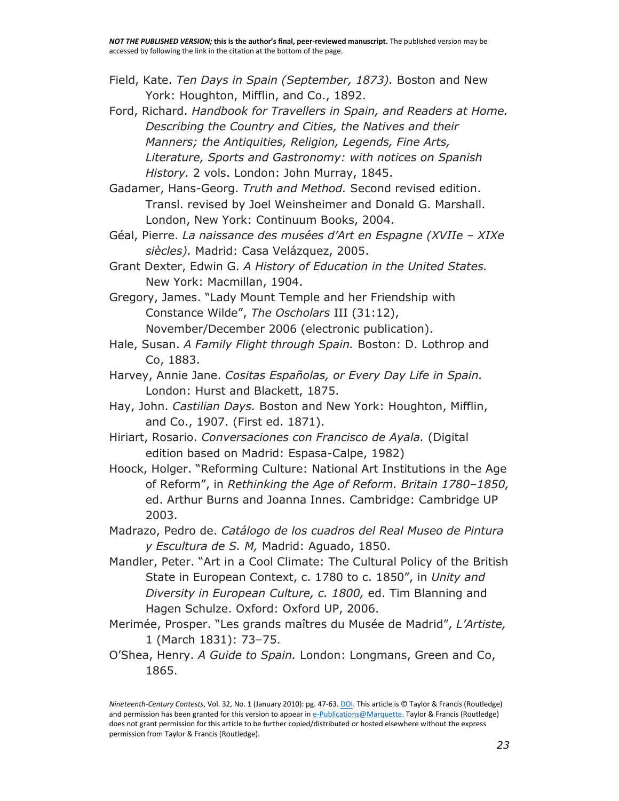- Field, Kate. *Ten Days in Spain (September, 1873).* Boston and New York: Houghton, Mifflin, and Co., 1892.
- Ford, Richard. *Handbook for Travellers in Spain, and Readers at Home. Describing the Country and Cities, the Natives and their Manners; the Antiquities, Religion, Legends, Fine Arts, Literature, Sports and Gastronomy: with notices on Spanish History.* 2 vols. London: John Murray, 1845.
- Gadamer, Hans-Georg. *Truth and Method.* Second revised edition. Transl. revised by Joel Weinsheimer and Donald G. Marshall. London, New York: Continuum Books, 2004.
- Géal, Pierre. *La naissance des musées d'Art en Espagne (XVIIe – XIXe siècles).* Madrid: Casa Velázquez, 2005.
- Grant Dexter, Edwin G. *A History of Education in the United States.*  New York: Macmillan, 1904.
- Gregory, James. "Lady Mount Temple and her Friendship with Constance Wilde", *The Oscholars* III (31:12),

November/December 2006 (electronic publication).

- Hale, Susan. *A Family Flight through Spain.* Boston: D. Lothrop and Co, 1883.
- Harvey, Annie Jane. *Cositas Españolas, or Every Day Life in Spain.*  London: Hurst and Blackett, 1875.
- Hay, John. *Castilian Days.* Boston and New York: Houghton, Mifflin, and Co., 1907. (First ed. 1871).
- Hiriart, Rosario. *Conversaciones con Francisco de Ayala.* (Digital edition based on Madrid: Espasa-Calpe, 1982)
- Hoock, Holger. "Reforming Culture: National Art Institutions in the Age of Reform", in *Rethinking the Age of Reform. Britain 1780–1850,*  ed. Arthur Burns and Joanna Innes. Cambridge: Cambridge UP 2003.
- Madrazo, Pedro de. *Catálogo de los cuadros del Real Museo de Pintura y Escultura de S. M,* Madrid: Aguado, 1850.
- Mandler, Peter. "Art in a Cool Climate: The Cultural Policy of the British State in European Context, c. 1780 to c. 1850", in *Unity and Diversity in European Culture, c. 1800,* ed. Tim Blanning and Hagen Schulze. Oxford: Oxford UP, 2006.
- Merimée, Prosper. "Les grands maîtres du Musée de Madrid", *L'Artiste,*  1 (March 1831): 73–75.
- O'Shea, Henry. *A Guide to Spain.* London: Longmans, Green and Co, 1865.

*Nineteenth-Century Contests*, Vol. 32, No. 1 (January 2010): pg. 47-63[. DOI.](http://dx.doi.org/10.1080/08905491003704046) This article is © Taylor & Francis (Routledge) and permission has been granted for this version to appear i[n e-Publications@Marquette.](http://epublications.marquette.edu/) Taylor & Francis (Routledge) does not grant permission for this article to be further copied/distributed or hosted elsewhere without the express permission from Taylor & Francis (Routledge).